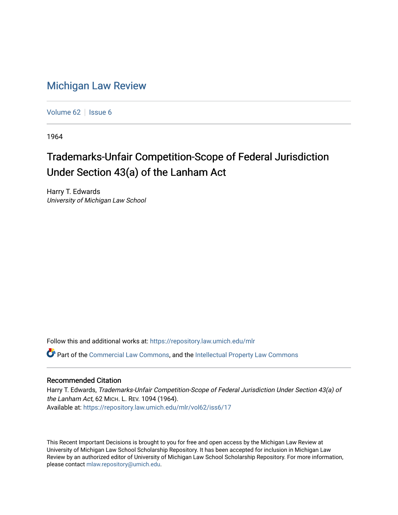## [Michigan Law Review](https://repository.law.umich.edu/mlr)

[Volume 62](https://repository.law.umich.edu/mlr/vol62) | [Issue 6](https://repository.law.umich.edu/mlr/vol62/iss6)

1964

## Trademarks-Unfair Competition-Scope of Federal Jurisdiction Under Section 43(a) of the Lanham Act

Harry T. Edwards University of Michigan Law School

Follow this and additional works at: [https://repository.law.umich.edu/mlr](https://repository.law.umich.edu/mlr?utm_source=repository.law.umich.edu%2Fmlr%2Fvol62%2Fiss6%2F17&utm_medium=PDF&utm_campaign=PDFCoverPages) 

Part of the [Commercial Law Commons](http://network.bepress.com/hgg/discipline/586?utm_source=repository.law.umich.edu%2Fmlr%2Fvol62%2Fiss6%2F17&utm_medium=PDF&utm_campaign=PDFCoverPages), and the [Intellectual Property Law Commons](http://network.bepress.com/hgg/discipline/896?utm_source=repository.law.umich.edu%2Fmlr%2Fvol62%2Fiss6%2F17&utm_medium=PDF&utm_campaign=PDFCoverPages)

## Recommended Citation

Harry T. Edwards, Trademarks-Unfair Competition-Scope of Federal Jurisdiction Under Section 43(a) of the Lanham Act, 62 MICH. L. REV. 1094 (1964). Available at: [https://repository.law.umich.edu/mlr/vol62/iss6/17](https://repository.law.umich.edu/mlr/vol62/iss6/17?utm_source=repository.law.umich.edu%2Fmlr%2Fvol62%2Fiss6%2F17&utm_medium=PDF&utm_campaign=PDFCoverPages) 

This Recent Important Decisions is brought to you for free and open access by the Michigan Law Review at University of Michigan Law School Scholarship Repository. It has been accepted for inclusion in Michigan Law Review by an authorized editor of University of Michigan Law School Scholarship Repository. For more information, please contact [mlaw.repository@umich.edu.](mailto:mlaw.repository@umich.edu)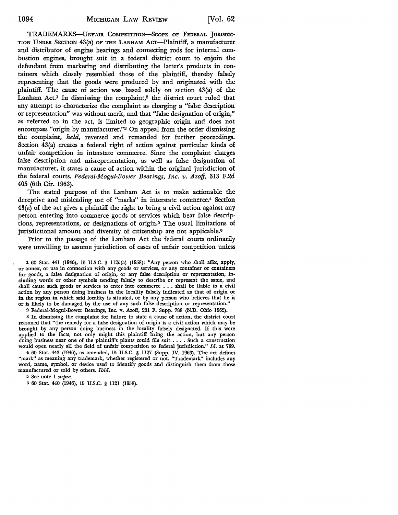TRADEMARKS-UNFAIR CoMPETITION-ScoPE OF FEDERAL JURISDIC· TION UNDER SECTION 43(a) OF THE LANHAM Acr-Plaintiff, a manufacturer and distributor of engine bearings and connecting rods for internal combustion engines, brought suit in a federal district court to enjoin the defendant from marketing and distributing the latter's products in containers which closely resembled those of the plaintiff, thereby falsely representing that the goods were produced by and originated with the plaintiff. The cause of action was based solely on section 43(a) of the Lanham Act.<sup>1</sup> In dismissing the complaint,<sup>2</sup> the district court ruled that any attempt to characterize the complaint as charging a "false description or representation" was without merit, and that "false designation of origin," as referred to in the act, is limited to geographic origin and does not encompass "origin by manufacturer.''3 On appeal from the order dismissing the complaint, *held,* reversed and remanded for further proceedings. Section 43(a) creates a federal right of action against particular kinds of unfair competition in interstate commerce. Since the complaint charges false description and misrepresentation, as well as false designation of manufacturer, it states a cause of action within the original jurisdiction of the federal courts. *Federal-Mogul-Bower Bearings, Inc. v. Azoff,* 313 F.2d 405 (6th Cir. 1963).

The stated purpose of the Lanham Act is to make actionable the deceptive and misleading use of "marks" in interstate commerce.4 Section 43(a) of the act gives a plaintiff the right to bring a civil action against any person entering into commerce goods or services which bear false descriptions, representations, or designations of origin.5 The usual limitations of jurisdictional amount and diversity of citizenship are not applicable.<sup>6</sup>

Prior to the passage of the Lanham Act the federal courts ordinarily were unwilling to assume jurisdiction of cases of unfair competition unless

1 60 Stat. 441 (1946), 15 U.S.C. § 1125(a) (1958): "Any person who shall affix, apply, or annex, or use in connection with any goods or services, or any container or containers for goods, a false designation of origin, or any false description or representation, including words or other symbols tending falsely to describe or represent the same, and shall cause such goods or services to enter into commerce ..• shall be liable to a civil action by any person doing business in the locality falsely indicated as that of origin or in the region in which said locality is situated, or by any person who believes that he is or is likely to be damaged by the use of any such false description or representation.''

2 Federal-Mognl-Bower Bearings, Inc. v. Azoff, 201 F. Supp. 788 (N.D. Ohio 1962).

<sup>3</sup>In dismissing the complaint for failure to state a cause of action, the district court reasoned that "the remedy for a false designation of origin is a civil action which may be brought by any person doing business in the locality falsely designated. If this were applied to the facts, not only might this plaintiff bring the action, but any person doing business near one of the plaintiff's plants could file suit  $\dots$ . Such a construction would open nearly all the field of unfair competition to federal jurisdiction.'' *Id.* at 789.

<sup>4</sup>60 Stat. 443 (1946), as amended, 15 U.S.C. § 1127 (Supp. IV, 1963). The act defines "mark" as meaning any trademark, whether registered or not. "Trademark" includes any word, name, symbol, or device used to identify goods and distinguish them from those manufactured or sold by others. *Ibid.* 

<sup>5</sup>See note 1 *supra.* 

6 60 Stat. 440 (1946), 15 U.S.C. § 1121 (1958).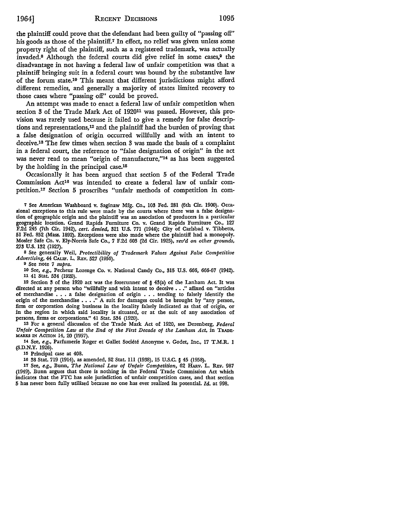the plaintiff could prove that the defendant had been guilty of "passing off" his goods as those of the plaintiff.<sup>7</sup> In effect, no relief was given unless some property right of the plaintiff, such as a registered trademark, was actually invaded.<sup>8</sup> Although the federal courts did give relief in some cases,<sup>9</sup> the disadvantage in not having a federal law of unfair competition was that a plaintiff bringing suit in a federal court was bound by the substantive law of the forum state.10 This meant that different jurisdictions might afford different remedies, and generally a majority of states limited recovery to those cases where "passing off" could be proved.

An attempt was made to enact a federal law of unfair competition when section 3 of the Trade Mark Act of 192011 was passed. However, this provision was rarely used because it failed to give a remedy for false descriptions and representations,12 and the plaintiff had the burden of proving that a false designation of origin occurred wilHully and with an intent to deceive.18 The few times when section 3 was made the basis of a complaint in a federal court, the reference to "false designation of origin" in the act was never read to mean "origin of manufacture,"14 as has been suggested by the holding in the principal case.15

Occasionally it has been argued that section 5 of the Federal Trade Commission Act16 was intended to create a federal law of unfair competition.17 Section 5 proscribes "unfair methods of competition in com-

<sup>8</sup>See generally Weil, *Protectibility of Trademark Yalues Against False Competitive Advertising,* 44 CAI.IF. L. REv. 527 (1956).

<sup>9</sup>See note 7 *supra.* 

10 See, *e.g.,* Pecheur Lozenge Co. v. National Candy Co., 315 U.S. 666, 666-67 (1942). 11 41 Stat. 534 (1920).

12 Section 3 of the 1920 act was the forerunner of § 43(a) of the Lanham Act. It was directed at any person who "willfully and with intent to deceive . . ." affixed on "articles of merchandise  $\ldots$  a false designation of origin  $\ldots$  tending to falsely identify the origin of the merchandise . . . ." A suit for damages could be brought by "any person, firm or corporation doing business in the locality falsely indicated as that of origin, or in the region in which said locality is situated, or at the suit of any association of persons, firms or corporations." 41 Stat. 534 (1920).

13 For a general discussion of the Trade Mark Act of 1920, see Derenberg, *Federal Unfair Competition Law at the End of the First Decade of the Lanham Act,* in TRADE· MARKS IN AcrION 14, 20 (1957).

14 See, *e.g.,* Parfumerie Roger et Gallet Societe Anonyme v. Godet, Inc., 17 T.M.R. I (S.D.N.Y. 1926).

15 Principal case at 408.

16 38 Stat. 719 (1914), as amended, 52 Stat. Ill (1938), 15 U.S.C. § 45 (1958).

17 See, *e.g.,* Bunn, *The National Law of Unfair Competition,* 62 HARv. L. REv. 987 (1949). Bunn argues that there is nothing in the Federal Trade Commission Act which indicates that the FTC has sole jurisdiction of unfair competition cases, and that section 5 has never been fully utilized because no one has ever realized its potential. *Id.* at 998.

<sup>7</sup> See American Washboard v. Saginaw Mfg. Co., 103 Fed. 281 (6th Cir. 1900). Occasional exceptions to this rule were made by the courts where there was a false designation of geographic origin and the plaintiff was an association of producers in a particular geographic location. Grand Rapids Furniture Co. v. Grand Rapids Furniture Co., 127 F.2d 245 (7th Cir. 1942), *cert. denied,* 321 U.S. 771 (1944); City of Carlsbad v. Tibbetts, 51 Fed. 852 (Mass. 1892). Exceptions were also made where the plaintiff had a monopoly. Mosler Safe Co. v. Ely-Norris Safe Co., 7 F.2d 603 (2d Cir. 1925), *rev'd on other grounds,*  273 U.S. 132 (1927).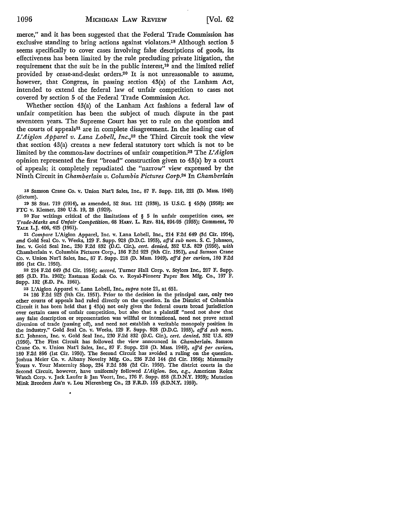merce," and it has been suggested that the Federal Trade Commission has exclusive standing to bring actions against violators.18 Although section 5 seems specifically to cover cases involving false descriptions of goods, its effectiveness has been limited by the rule precluding private litigation, the requirement that the suit be in the public interest,19 and the limited relief provided by cease-and-desist orders.20 It is not unreasonable to assume, however, that Congress, in passing section 43(a) of the Lanham Act, intended to extend the federal law of unfair competition to cases not covered by section 5 of the Federal Trade Commission Act.

Whether section 43(a) of the Lanham Act fashions a federal law of unfair competition has been the subject of much dispute in the past seventeen years. The Supreme Court has yet to rule on the question and the courts of appeals<sup>21</sup> are in complete disagreement. In the leading case of *L'Aiglon Apparel v. Lana Lobell, Inc.,*22 the Third Circuit took the view that section 43(a) creates a new federal statutory tort which is not to be limited by the common-law doctrines of unfair competition.23 The *L' A iglon*  opinion represented the first "broad" construction given to 43(a) by a court of appeals; it completely repudiated the "narrow" view expressed by the Ninth Circuit in *Chamberlain v. Columbia Pictures Corp.*24 In *Chamberlain* 

18 Samson Crane Co. v. Union Nat'l Sales, Inc., 87 F. Supp. 218, 221 (D. Mass. 1949) (dictum).

19 38 Stat. 719 (1914), as amended, 52 Stat. 112 (1938), 15 U.S.C. § 45(b) (1958); see FTC v. Klesner, 280 U.S. 19, 28 (1929).

20 For writings critical of the limitations of  $\S$  5 in unfair competition cases, see *Trade-Marks and Unfair Competition,* 68 HARV. L. REV. 814, 894-95 (1955); Comment, 70 YALE L.J. 406, 425 (1961).

21 *Compare* L'Aiglon Apparel, Inc. v. Lana Lobell, Inc., 214 F.2d 649 (3d Cir. 1954), *and* Gold Seal Co. v. Weeks, 129 F. Supp. 928 (D.D.C. 1955), *afj'd sub nom.* S. C. Johnson, Inc. v. Gold Seal Inc., 230 F.2d 832 (D.C. Cir.), *cert. denied,* 352 U.S. 829 (1956), *with*  Chamberlain v. Columbia Pictures Corp., 186 F.2d 923 (9th Cir. 1951), *and* Samson Crane Co. v. Union Nat'l Sales, Inc., 87 F. Supp. 218 (D. Mass. 1949), *afj'd per curiam,* 180 F.2d 896 (1st Cir. 1950).

22 214 F.2d 649 (3d Cir. 1954); *accord,* Turner Hall Corp. v. Stylors Inc., 207 F. Supp. 865 (S.D. Fla. 1962); Eastman Kodak Co. v. Royal-Pioneer Paper Box **Mfg.** Co., 197 F. Supp. 132 (E.D. Pa. 1961).

23 L'Aiglon Apparel v. Lana Lobell, Inc., *supra* note 21, at 651.

24 186 F.2d 923 (9th Cir. 1951). Prior to the decision in the principal case, only two other courts of appeals had ruled directly on the question. In the District of Columbia Circuit it has been held that § 43(a) not only gives the federal courts broad jurisdiction over certain cases of unfair competition, but also that a plaintiff "need not show that any false description or representation was willful or intentional, need not prove actual diversion of trade (passing off), and need not establish a veritable monopoly position in the industry." Gold Seal Co. v. Weeks, 129 F. Supp. 928 (D.D.C. 1955), *afj'd sub nom.*  S.C. Johnson, Inc. v. Gold Seal Inc., 230 F.2d 832 (D.C. Cir.), *cert. denied,* 352 U.S. 829 (1956). The First Circuit has followed the view announced in *Chamberlain.* Samson Crane Co. v. Union Nat'l Sales, Inc., 87 F. Supp. 218 (D. Mass. 1949), *afj'd per curiam,*  180 F.2d 896 (1st Cir. 1950). The Second Circuit has avoided a ruling on the question. Joshua Meier Co. v. Albany Novelty Mfg. Co., 236 F.2d 144 (2d Cir. 1956); Maternally Yours v. Your Maternity Shop, 234 F.2d 538 (2d Cir. 1956). The district courts in the Second Circuit, however, have uniformly followed *L'Aiglon.* See, *e.g.,* American Rolex Watch Corp. v. Jack Laufer & Jan Voort, Inc., 176 F. Supp. 858 (E.D.N.Y. 1959); Mutation Mink Breeders Ass'n v. Lou Nierenberg Co., 23 F.R.D. 155 (S.D.N.Y. 1959).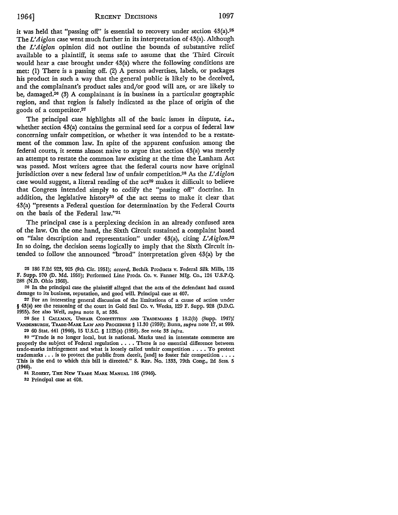it was held that "passing off" is essential to recovery under section 43(a).25 The *L'Aiglon* case went much further in its interpretation of 43(a). Although the *L'Aiglon* opinion did not outline the bounds of substantive relief available to a plaintiff, it seems safe to assume that the Third Circuit would hear a case brought under 43(a) where the following conditions are met: (1) There is a passing off. (2) A person advertises, labels, or packages his product in such a way that the general public is likely to be deceived, and the complainant's product sales and/or good will are, or are likely to be, damaged.<sup>26</sup> (3) A complainant is in business in a particular geographic region, and that region is falsely indicated as the place of origin of the goods of a competitor.21

The principal case highlights all of the basic issues in dispute, *i.e.,*  whether section 43(a) contains the germinal seed for a corpus of federal law concerning unfair competition, or whether it was intended to be a restatement of the common law. In spite of the apparent confusion among the federal courts, it seems almost naive to argue that section 43(a) was merely an attempt to restate the common law existing at the time the Lanham Act was passed. Most writers agree that the federal courts now have original jurisdiction over a new federal law of unfair competition.28 As the *L'Aiglon*  case would suggest, a literal reading of the  $act<sup>29</sup>$  makes it difficult to believe that Congress intended simply to codify the "passing off" doctrine. In addition, the legislative history30 of the act seems to make it clear that 43(a) "presents a Federal question for determination by the Federal Courts on the basis of the Federal law."31

The principal case is a perplexing decision in an already confused area of the law. On the one hand, the Sixth Circuit sustained a complaint based on "false description and representation" under 43(a), citing *L'Aiglon.32*  In so doing, the decision seems logically to imply that the Sixth Circuit intended to follow the announced "broad" interpretation given 43(a) by the

25 186 F.2d 923, 925 (9th Cir. 1951); *accord,* Bechik Products v. Federal Silk Mills, 135 F. Supp. 570 (D. Md. 1955); Performed Line Prods. Co. v. Fanner Mfg. Co., 124 U.S.P.Q. 288 (N.D. Ohio 1960).

26 In the principal case the plaintiff alleged that the acts of the defendant had caused damage to its business, reputation, and good will. Principal case at 407.

27 For an interesting general discussion of the limitations of a cause of action under § 43(a) see the reasoning of the court in Gold Seal Co. v. Weeks, 129 F. Supp. 928 (D.D.C. 1955). See also Weil, *supra* note 8, at 536.

28 See l CALLMAN, UNFAIR. COMPETITION AND TRADEMARKS § 18.2(b) (Supp. 1947); VANDENBURGH, TRADE-MARK LAw AND PROCEDURE§ 11.30 (1959); Bunn, *supra* note 17, at 999. 29 60 Stat. 441 (1946), 15 U.S.C. § 1125(a) (1958). See note 33 infra.

30 "Trade is no longer local, but is national. Marks used in interstate commerce are properly the subject of Federal regulation  $\dots$ . There is no essential difference between trade-marks infringement and what is loosely called unfair competition •••• To protect trademarks  $\ldots$  is to protect the public from deceit, [and] to foster fair competition  $\ldots$ . This is the end to which this bill is directed." S. REP. No. 1333, 79th Cong., 2d Sess. 5 (1946).

31 ROBERT, THE NEW TRADE MARK MANUAL 186 (1946).

32 Principal case at 408.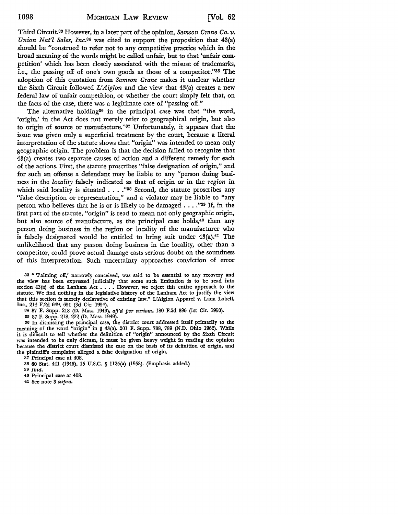Third Circuit.88 However, in a later part of the opinion, *Samson Crane Co. v. Union Nat'l Sales, Inc.84* was cited to support the proposition that 43(a) should be "construed to refer not to any competitive practice which in the broad meaning of the words might be called unfair, but to that 'unfair competition' which has been closely associated with the misuse of trademarks, i.e., the passing off of one's own goods as those of a competitor."85 The adoption of this quotation from *Samson Crane* makes it unclear whether the Sixth Circuit followed *L'Aiglon* and the view that 43(a) creates a new federal law of unfair competition, or whether the court simply felt that, on the facts of the case, there was a legitimate case of "passing off."

The alternative holding<sup>36</sup> in the principal case was that "the word, 'origin,' in the Act does not merely refer to geographical origin, but also to origin of source or manufacture."87 Unfortunately, it appears that the issue was given only a superficial treatment by the court, because a literal interpretation of the statute shows that "origin" was intended to mean only geographic origin. The problem is that the decision failed to recognize that 43(a) creates two separate causes of action and a different remedy for each of the actions. First, the statute proscribes "false designation of origin," and for such an offense a defendant may be liable to any "person doing business in the *locality* falsely indicated as that of origin or in the *region* in which said locality is situated . . . . "38 Second, the statute proscribes any "false description or representation," and a violator may be liable to "any person who believes that he is or is likely to be damaged .... "39 If, in the first part of the statute, "origin" is read to mean not only geographic origin, but also source of manufacture, as the principal case holds,<sup>40</sup> then any person doing business in the region or locality of the manufacturer who is falsely designated would be entitled to bring suit under 43(a).41 The unlikelihood that any person doing business in the locality, other than a competitor, could prove actual damage casts serious doubt on the soundness of this interpretation. Such uncertainty approaches conviction of error

33 " 'Palming off,' narrowly conceived, was said to be essential to any recovery and the view has been expressed judicially that some such limitation is to be read into section 43(a) of the Lanham Act . . . . However, we reject this entire approach to the statute. We find nothing in the legislative history of the Lanham Act to justify the view that this section is merely declarative of existing law." L'Aiglon Apparel v. Lana Lobell, Inc., 214 F.2d 649, 651 (3d Cir. 1954).

84 87 F. Supp. 218 (D. Mass. 1949), *afj'd per curiam,* 180 F.2d 896 (1st Cir. 1950).

85 87 F. Supp. 218, 222 (D. Mass. 1949).

36 In dismissing the principal case, the district court addressed itself primarily to the meaning of the word "origin" in § 43(a). 201 F. Supp. 788, 789 (N.D. Ohio 1962). While it is difficult to tell whether the definition of "origin" announced by the Sixth Circuit was intended to be only dictum, it must be given heavy weight in reading the opinion because the district court dismissed the case on the basis of its definition of origin, and the plaintiff's complaint alleged a false designation of origin.

37 Principal case at 408.

88 60 Stat. 441 (1946), 15 U.S.C. § 1125(a) (1958). (Emphasis added.)

89 *Ibid.* 

40 Principal case at 408.

41 See note 3 *supra.*